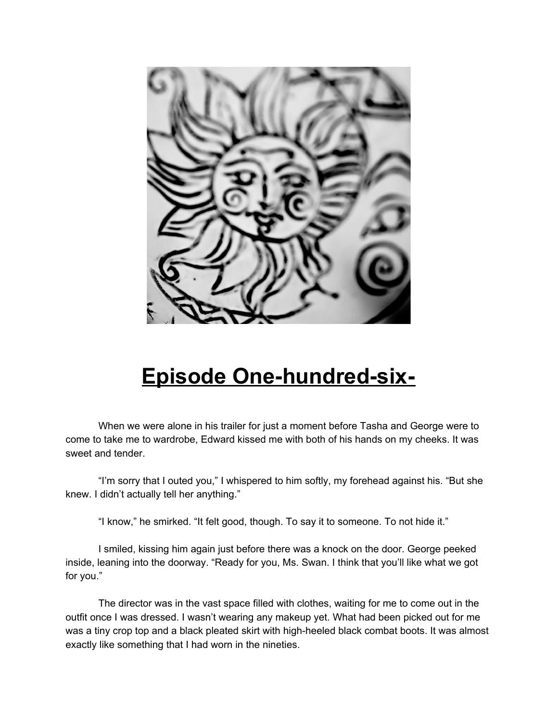

## **Episode One-hundred-six-**

When we were alone in his trailer for just a moment before Tasha and George were to come to take me to wardrobe, Edward kissed me with both of his hands on my cheeks. It was sweet and tender.

"I'm sorry that I outed you," I whispered to him softly, my forehead against his. "But she knew. I didn't actually tell her anything."

"I know," he smirked. "It felt good, though. To say it to someone. To not hide it."

I smiled, kissing him again just before there was a knock on the door. George peeked inside, leaning into the doorway. "Ready for you, Ms. Swan. I think that you'll like what we got for you."

The director was in the vast space filled with clothes, waiting for me to come out in the outfit once I was dressed. I wasn't wearing any makeup yet. What had been picked out for me was a tiny crop top and a black pleated skirt with high-heeled black combat boots. It was almost exactly like something that I had worn in the nineties.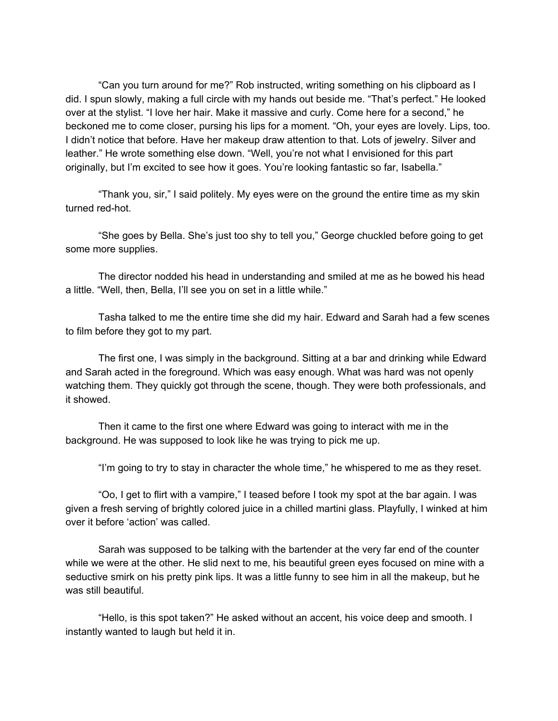"Can you turn around for me?" Rob instructed, writing something on his clipboard as I did. I spun slowly, making a full circle with my hands out beside me. "That's perfect." He looked over at the stylist. "I love her hair. Make it massive and curly. Come here for a second," he beckoned me to come closer, pursing his lips for a moment. "Oh, your eyes are lovely. Lips, too. I didn't notice that before. Have her makeup draw attention to that. Lots of jewelry. Silver and leather." He wrote something else down. "Well, you're not what I envisioned for this part originally, but I'm excited to see how it goes. You're looking fantastic so far, Isabella."

"Thank you, sir," I said politely. My eyes were on the ground the entire time as my skin turned red-hot.

"She goes by Bella. She's just too shy to tell you," George chuckled before going to get some more supplies.

The director nodded his head in understanding and smiled at me as he bowed his head a little. "Well, then, Bella, I'll see you on set in a little while."

Tasha talked to me the entire time she did my hair. Edward and Sarah had a few scenes to film before they got to my part.

The first one, I was simply in the background. Sitting at a bar and drinking while Edward and Sarah acted in the foreground. Which was easy enough. What was hard was not openly watching them. They quickly got through the scene, though. They were both professionals, and it showed.

Then it came to the first one where Edward was going to interact with me in the background. He was supposed to look like he was trying to pick me up.

"I'm going to try to stay in character the whole time," he whispered to me as they reset.

"Oo, I get to flirt with a vampire," I teased before I took my spot at the bar again. I was given a fresh serving of brightly colored juice in a chilled martini glass. Playfully, I winked at him over it before 'action' was called.

Sarah was supposed to be talking with the bartender at the very far end of the counter while we were at the other. He slid next to me, his beautiful green eyes focused on mine with a seductive smirk on his pretty pink lips. It was a little funny to see him in all the makeup, but he was still beautiful.

"Hello, is this spot taken?" He asked without an accent, his voice deep and smooth. I instantly wanted to laugh but held it in.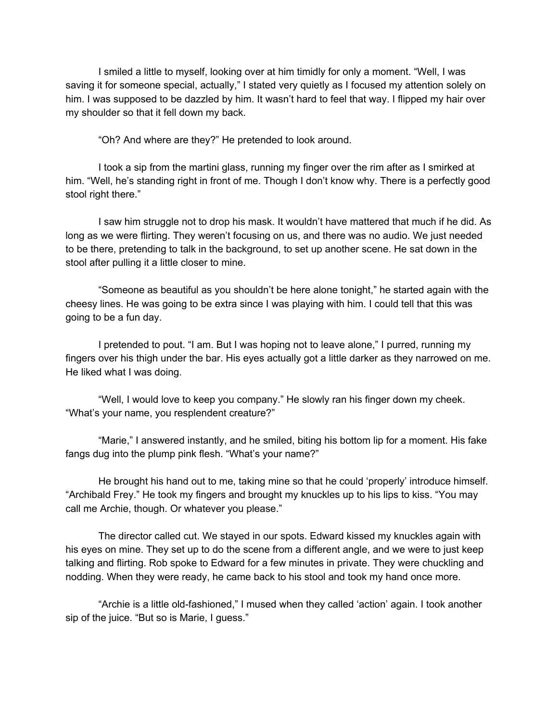I smiled a little to myself, looking over at him timidly for only a moment. "Well, I was saving it for someone special, actually," I stated very quietly as I focused my attention solely on him. I was supposed to be dazzled by him. It wasn't hard to feel that way. I flipped my hair over my shoulder so that it fell down my back.

"Oh? And where are they?" He pretended to look around.

I took a sip from the martini glass, running my finger over the rim after as I smirked at him. "Well, he's standing right in front of me. Though I don't know why. There is a perfectly good stool right there."

I saw him struggle not to drop his mask. It wouldn't have mattered that much if he did. As long as we were flirting. They weren't focusing on us, and there was no audio. We just needed to be there, pretending to talk in the background, to set up another scene. He sat down in the stool after pulling it a little closer to mine.

"Someone as beautiful as you shouldn't be here alone tonight," he started again with the cheesy lines. He was going to be extra since I was playing with him. I could tell that this was going to be a fun day.

I pretended to pout. "I am. But I was hoping not to leave alone," I purred, running my fingers over his thigh under the bar. His eyes actually got a little darker as they narrowed on me. He liked what I was doing.

"Well, I would love to keep you company." He slowly ran his finger down my cheek. "What's your name, you resplendent creature?"

"Marie," I answered instantly, and he smiled, biting his bottom lip for a moment. His fake fangs dug into the plump pink flesh. "What's your name?"

He brought his hand out to me, taking mine so that he could 'properly' introduce himself. "Archibald Frey." He took my fingers and brought my knuckles up to his lips to kiss. "You may call me Archie, though. Or whatever you please."

The director called cut. We stayed in our spots. Edward kissed my knuckles again with his eyes on mine. They set up to do the scene from a different angle, and we were to just keep talking and flirting. Rob spoke to Edward for a few minutes in private. They were chuckling and nodding. When they were ready, he came back to his stool and took my hand once more.

"Archie is a little old-fashioned," I mused when they called 'action' again. I took another sip of the juice. "But so is Marie, I guess."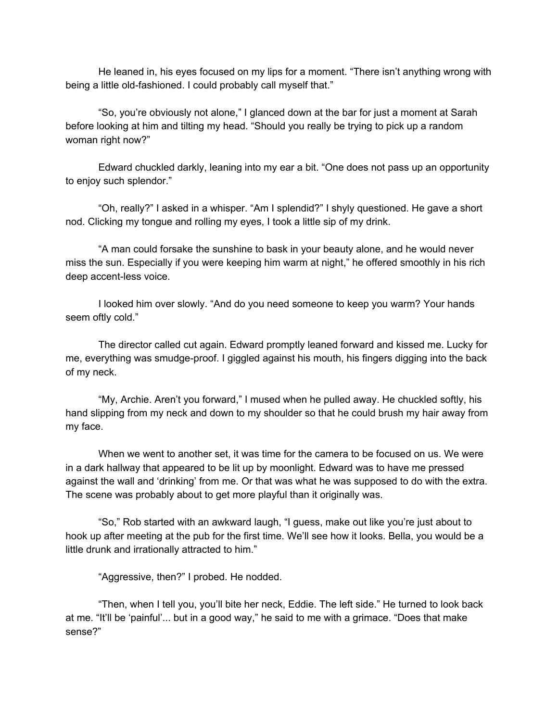He leaned in, his eyes focused on my lips for a moment. "There isn't anything wrong with being a little old-fashioned. I could probably call myself that."

"So, you're obviously not alone," I glanced down at the bar for just a moment at Sarah before looking at him and tilting my head. "Should you really be trying to pick up a random woman right now?"

Edward chuckled darkly, leaning into my ear a bit. "One does not pass up an opportunity to enjoy such splendor."

"Oh, really?" I asked in a whisper. "Am I splendid?" I shyly questioned. He gave a short nod. Clicking my tongue and rolling my eyes, I took a little sip of my drink.

"A man could forsake the sunshine to bask in your beauty alone, and he would never miss the sun. Especially if you were keeping him warm at night," he offered smoothly in his rich deep accent-less voice.

I looked him over slowly. "And do you need someone to keep you warm? Your hands seem oftly cold."

The director called cut again. Edward promptly leaned forward and kissed me. Lucky for me, everything was smudge-proof. I giggled against his mouth, his fingers digging into the back of my neck.

"My, Archie. Aren't you forward," I mused when he pulled away. He chuckled softly, his hand slipping from my neck and down to my shoulder so that he could brush my hair away from my face.

When we went to another set, it was time for the camera to be focused on us. We were in a dark hallway that appeared to be lit up by moonlight. Edward was to have me pressed against the wall and 'drinking' from me. Or that was what he was supposed to do with the extra. The scene was probably about to get more playful than it originally was.

"So," Rob started with an awkward laugh, "I guess, make out like you're just about to hook up after meeting at the pub for the first time. We'll see how it looks. Bella, you would be a little drunk and irrationally attracted to him."

"Aggressive, then?" I probed. He nodded.

"Then, when I tell you, you'll bite her neck, Eddie. The left side." He turned to look back at me. "It'll be 'painful'... but in a good way," he said to me with a grimace. "Does that make sense?"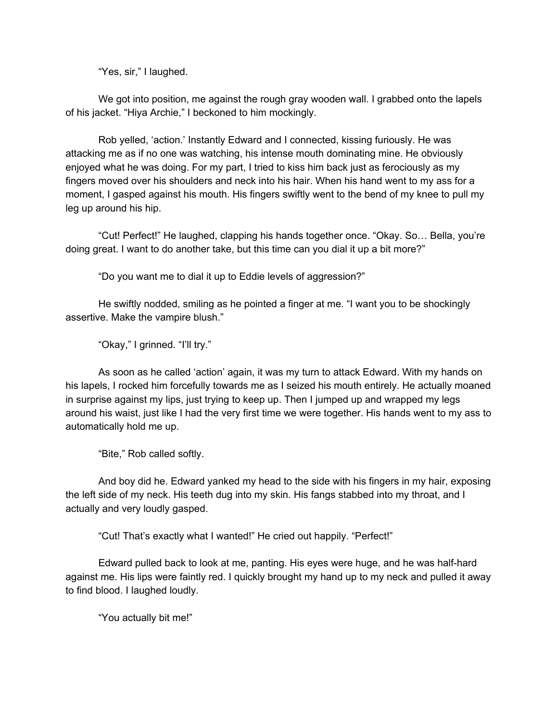"Yes, sir," I laughed.

We got into position, me against the rough gray wooden wall. I grabbed onto the lapels of his jacket. "Hiya Archie," I beckoned to him mockingly.

Rob yelled, 'action.' Instantly Edward and I connected, kissing furiously. He was attacking me as if no one was watching, his intense mouth dominating mine. He obviously enjoyed what he was doing. For my part, I tried to kiss him back just as ferociously as my fingers moved over his shoulders and neck into his hair. When his hand went to my ass for a moment, I gasped against his mouth. His fingers swiftly went to the bend of my knee to pull my leg up around his hip.

"Cut! Perfect!" He laughed, clapping his hands together once. "Okay. So… Bella, you're doing great. I want to do another take, but this time can you dial it up a bit more?"

"Do you want me to dial it up to Eddie levels of aggression?"

He swiftly nodded, smiling as he pointed a finger at me. "I want you to be shockingly assertive. Make the vampire blush."

"Okay," I grinned. "I'll try."

As soon as he called 'action' again, it was my turn to attack Edward. With my hands on his lapels, I rocked him forcefully towards me as I seized his mouth entirely. He actually moaned in surprise against my lips, just trying to keep up. Then I jumped up and wrapped my legs around his waist, just like I had the very first time we were together. His hands went to my ass to automatically hold me up.

"Bite," Rob called softly.

And boy did he. Edward yanked my head to the side with his fingers in my hair, exposing the left side of my neck. His teeth dug into my skin. His fangs stabbed into my throat, and I actually and very loudly gasped.

"Cut! That's exactly what I wanted!" He cried out happily. "Perfect!"

Edward pulled back to look at me, panting. His eyes were huge, and he was half-hard against me. His lips were faintly red. I quickly brought my hand up to my neck and pulled it away to find blood. I laughed loudly.

"You actually bit me!"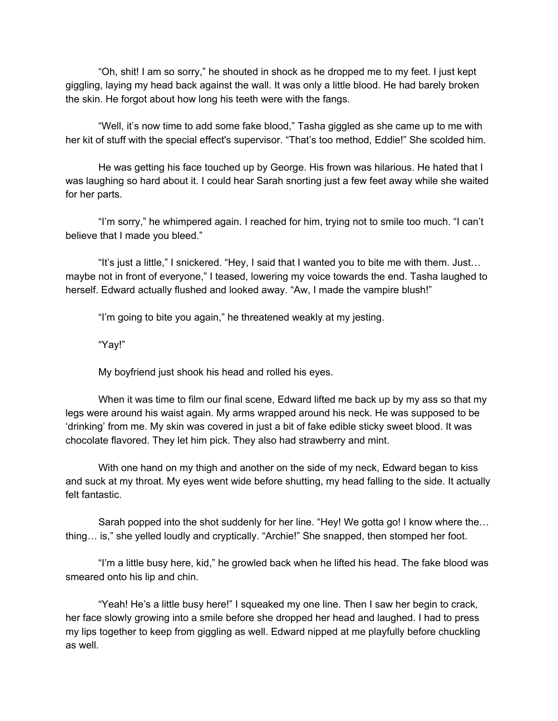"Oh, shit! I am so sorry," he shouted in shock as he dropped me to my feet. I just kept giggling, laying my head back against the wall. It was only a little blood. He had barely broken the skin. He forgot about how long his teeth were with the fangs.

"Well, it's now time to add some fake blood," Tasha giggled as she came up to me with her kit of stuff with the special effect's supervisor. "That's too method, Eddie!" She scolded him.

He was getting his face touched up by George. His frown was hilarious. He hated that I was laughing so hard about it. I could hear Sarah snorting just a few feet away while she waited for her parts.

"I'm sorry," he whimpered again. I reached for him, trying not to smile too much. "I can't believe that I made you bleed."

"It's just a little," I snickered. "Hey, I said that I wanted you to bite me with them. Just… maybe not in front of everyone," I teased, lowering my voice towards the end. Tasha laughed to herself. Edward actually flushed and looked away. "Aw, I made the vampire blush!"

"I'm going to bite you again," he threatened weakly at my jesting.

"Yay!"

My boyfriend just shook his head and rolled his eyes.

When it was time to film our final scene, Edward lifted me back up by my ass so that my legs were around his waist again. My arms wrapped around his neck. He was supposed to be 'drinking' from me. My skin was covered in just a bit of fake edible sticky sweet blood. It was chocolate flavored. They let him pick. They also had strawberry and mint.

With one hand on my thigh and another on the side of my neck, Edward began to kiss and suck at my throat. My eyes went wide before shutting, my head falling to the side. It actually felt fantastic.

Sarah popped into the shot suddenly for her line. "Hey! We gotta go! I know where the… thing… is," she yelled loudly and cryptically. "Archie!" She snapped, then stomped her foot.

"I'm a little busy here, kid," he growled back when he lifted his head. The fake blood was smeared onto his lip and chin.

"Yeah! He's a little busy here!" I squeaked my one line. Then I saw her begin to crack, her face slowly growing into a smile before she dropped her head and laughed. I had to press my lips together to keep from giggling as well. Edward nipped at me playfully before chuckling as well.